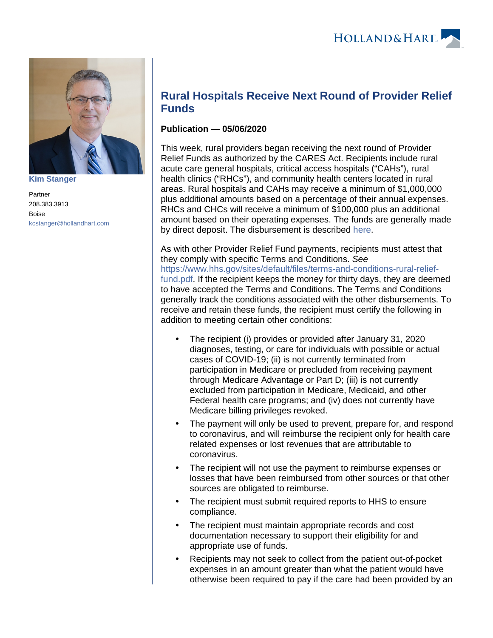

**[Kim Stanger](https://www.hollandhart.com/15954)**

Partner 208.383.3913 Boise [kcstanger@hollandhart.com](mailto:kcstanger@hollandhart.com)

## **Rural Hospitals Receive Next Round of Provider Relief Funds**

## **Publication — 05/06/2020**

This week, rural providers began receiving the next round of Provider Relief Funds as authorized by the CARES Act. Recipients include rural acute care general hospitals, critical access hospitals ("CAHs"), rural health clinics ("RHCs"), and community health centers located in rural areas. Rural hospitals and CAHs may receive a minimum of \$1,000,000 plus additional amounts based on a percentage of their annual expenses. RHCs and CHCs will receive a minimum of \$100,000 plus an additional amount based on their operating expenses. The funds are generally made by direct deposit. The disbursement is described [here.](https://www.hhs.gov/about/news/2020/05/01/hhs-begins-distribution-of-payments-to-hospitals-with-high-covid-19-admissions-rural-providers.html)

As with other Provider Relief Fund payments, recipients must attest that they comply with specific Terms and Conditions. See [https://www.hhs.gov/sites/default/files/terms-and-conditions-rural-relief](https://www.hhs.gov/sites/default/files/terms-and-conditions-rural-relief-fund.pdf)[fund.pdf.](https://www.hhs.gov/sites/default/files/terms-and-conditions-rural-relief-fund.pdf) If the recipient keeps the money for thirty days, they are deemed to have accepted the Terms and Conditions. The Terms and Conditions generally track the conditions associated with the other disbursements. To receive and retain these funds, the recipient must certify the following in addition to meeting certain other conditions:

- The recipient (i) provides or provided after January 31, 2020 diagnoses, testing, or care for individuals with possible or actual cases of COVID-19; (ii) is not currently terminated from participation in Medicare or precluded from receiving payment through Medicare Advantage or Part D; (iii) is not currently excluded from participation in Medicare, Medicaid, and other Federal health care programs; and (iv) does not currently have Medicare billing privileges revoked.
- The payment will only be used to prevent, prepare for, and respond to coronavirus, and will reimburse the recipient only for health care related expenses or lost revenues that are attributable to coronavirus.
- The recipient will not use the payment to reimburse expenses or losses that have been reimbursed from other sources or that other sources are obligated to reimburse.
- The recipient must submit required reports to HHS to ensure compliance.
- The recipient must maintain appropriate records and cost documentation necessary to support their eligibility for and appropriate use of funds.
- Recipients may not seek to collect from the patient out-of-pocket expenses in an amount greater than what the patient would have otherwise been required to pay if the care had been provided by an